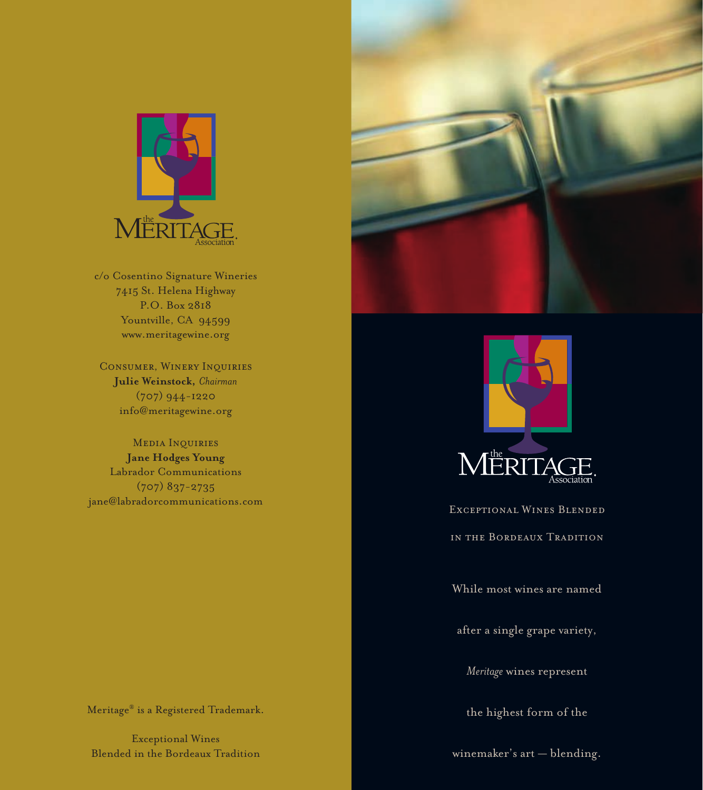

c/o Cosentino Signature Wineries 7415 St. Helena Highway P.O. Box 2818 Yountville, CA 94599 www.meritagewine.org

Consumer, Winery Inquiries **Julie Weinstock,** *Chairman* (707) 944-1220 info@meritagewine.org

Media Inquiries **Jane Hodges Young** Labrador Communications (707) 837-2735 jane@labradorcommunications.com





Exceptional Wines Blended in the Bordeaux Tradition

While most wines are named

after a single grape variety,

*Meritage* wines represent

the highest form of the

winemaker's art — blending.

Meritage® is a Registered Trademark.

Exceptional Wines Blended in the Bordeaux Tradition